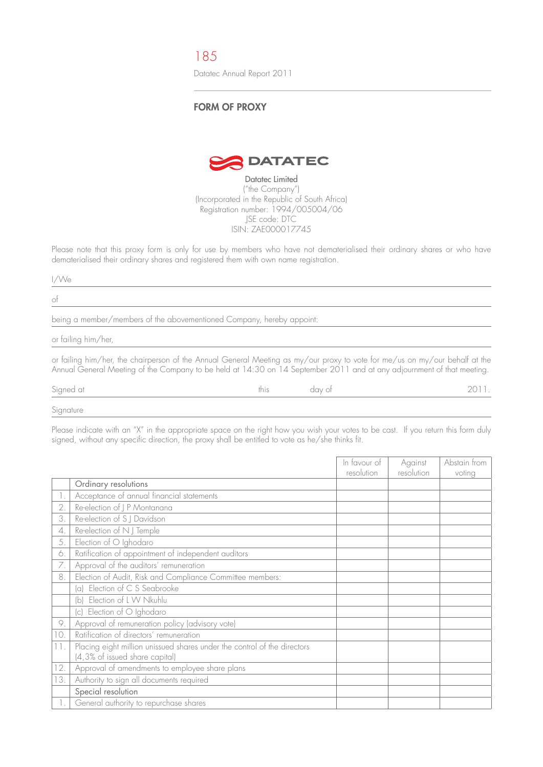185

Datatec Annual Report 2011

## **FORM OF PROXY**



Datatec Limited ("the Company") (Incorporated in the Republic of South Africa) Registration number: 1994/005004/06 JSE code: DTC ISIN: ZAE000017745

Please note that this proxy form is only for use by members who have not dematerialised their ordinary shares or who have dematerialised their ordinary shares and registered them with own name registration.

## I/We

of

being a member/members of the abovementioned Company, hereby appoint:

or failing him/her,

or failing him/her, the chairperson of the Annual General Meeting as my/our proxy to vote for me/us on my/our behalf at the Annual General Meeting of the Company to be held at 14:30 on 14 September 2011 and at any adjournment of that meeting.

Signed at this this day of the 2011. And this day of the control of 2011.

Signature

Please indicate with an "X" in the appropriate space on the right how you wish your votes to be cast. If you return this form duly signed, without any specific direction, the proxy shall be entitled to vote as he/she thinks fit.

|              |                                                                                                            | In favour of      | Against    | Abstain from |
|--------------|------------------------------------------------------------------------------------------------------------|-------------------|------------|--------------|
|              |                                                                                                            | <i>resolution</i> | resolution | voting       |
|              | Ordinary resolutions                                                                                       |                   |            |              |
| $\mathbb{L}$ | Acceptance of annual financial statements                                                                  |                   |            |              |
| 2.           | Re-election of J P Montanana                                                                               |                   |            |              |
| 3.           | Re-election of S J Davidson                                                                                |                   |            |              |
| 4.           | Re-election of N J Temple                                                                                  |                   |            |              |
| 5.           | Election of O Ighodaro                                                                                     |                   |            |              |
| 6.           | Ratification of appointment of independent auditors                                                        |                   |            |              |
| 7.           | Approval of the auditors' remuneration                                                                     |                   |            |              |
| 8.           | Election of Audit, Risk and Compliance Committee members:                                                  |                   |            |              |
|              | (a) Election of C S Seabrooke                                                                              |                   |            |              |
|              | (b) Election of L W Nkuhlu                                                                                 |                   |            |              |
|              | (c) Election of O Ighodaro                                                                                 |                   |            |              |
| 9.           | Approval of remuneration policy (advisory vote)                                                            |                   |            |              |
| 10.          | Ratification of directors' remuneration                                                                    |                   |            |              |
| 11.          | Placing eight million unissued shares under the control of the directors<br>(4,3% of issued share capital) |                   |            |              |
| 12.          | Approval of amendments to employee share plans                                                             |                   |            |              |
| 13.          | Authority to sign all documents required                                                                   |                   |            |              |
|              | Special resolution                                                                                         |                   |            |              |
|              | General authority to repurchase shares                                                                     |                   |            |              |